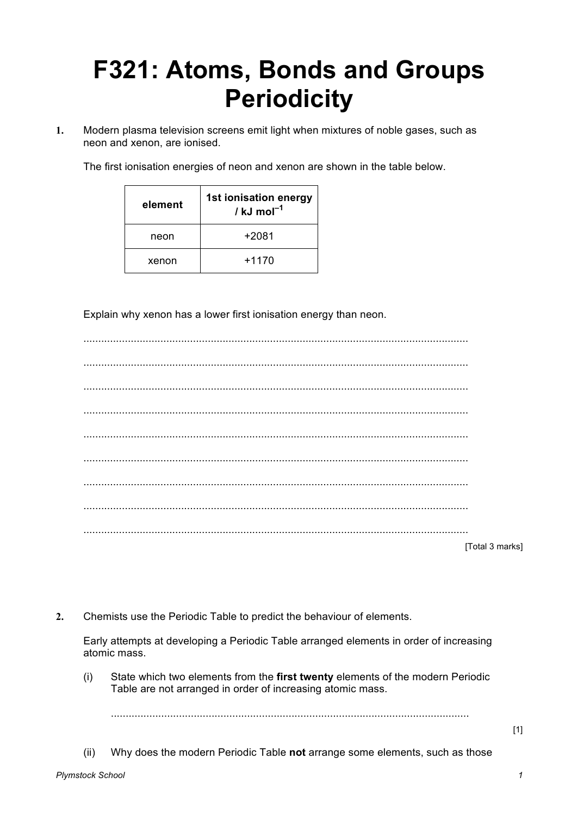## **F321: Atoms, Bonds and Groups Periodicity**

**1.** Modern plasma television screens emit light when mixtures of noble gases, such as neon and xenon, are ionised.

The first ionisation energies of neon and xenon are shown in the table below.

| element | 1st ionisation energy<br>/ kJ mol $^{-1}$ |
|---------|-------------------------------------------|
| neon    | $+2081$                                   |
| xenon   | $+1170$                                   |

Explain why xenon has a lower first ionisation energy than neon.

| [Total 3 marks] |
|-----------------|

**2.** Chemists use the Periodic Table to predict the behaviour of elements.

Early attempts at developing a Periodic Table arranged elements in order of increasing atomic mass.

(i) State which two elements from the **first twenty** elements of the modern Periodic Table are not arranged in order of increasing atomic mass.

.........................................................................................................................

- [1]
- (ii) Why does the modern Periodic Table **not** arrange some elements, such as those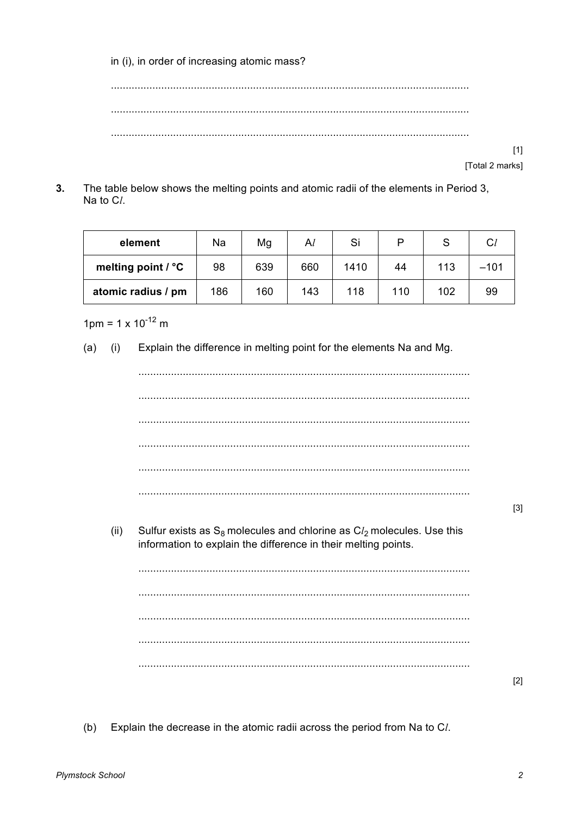in (i), in order of increasing atomic mass?

> $[1]$ [Total 2 marks]

 $3<sub>l</sub>$ The table below shows the melting points and atomic radii of the elements in Period 3, Na to Cl.

| element            | Na  | Mg  | Al  | Si   |     |     | $C_l$  |
|--------------------|-----|-----|-----|------|-----|-----|--------|
| melting point / °C | 98  | 639 | 660 | 1410 | 44  | 113 | $-101$ |
| atomic radius / pm | 186 | 160 | 143 | 118  | 110 | 102 | 99     |

 $1 \text{pm} = 1 \times 10^{-12} \text{m}$ 

Explain the difference in melting point for the elements Na and Mg.  $(a)$  $(i)$ 



Explain the decrease in the atomic radii across the period from Na to Cl.  $(b)$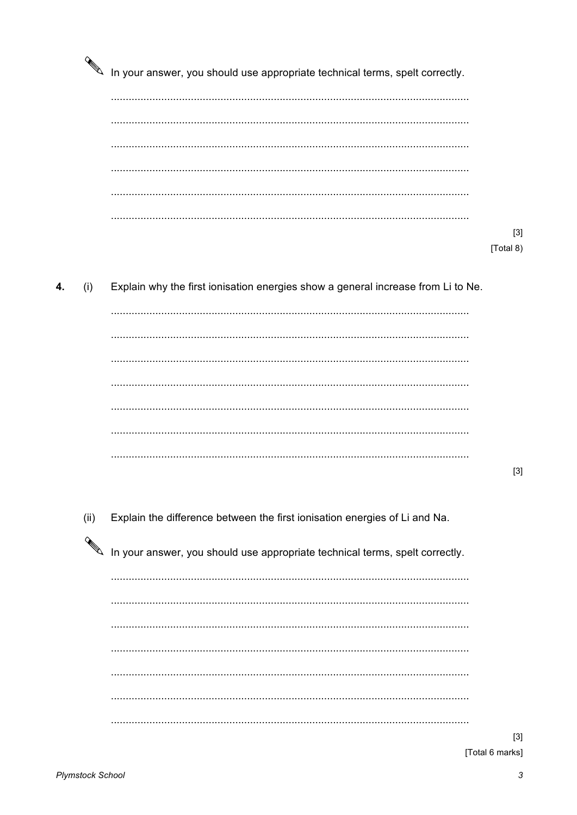|      | In your answer, you should use appropriate technical terms, spelt correctly.     |           |
|------|----------------------------------------------------------------------------------|-----------|
|      |                                                                                  |           |
|      |                                                                                  |           |
|      |                                                                                  |           |
|      |                                                                                  | $[3]$     |
|      |                                                                                  | [Total 8) |
| (i)  | Explain why the first ionisation energies show a general increase from Li to Ne. |           |
|      |                                                                                  |           |
|      |                                                                                  |           |
|      |                                                                                  |           |
|      |                                                                                  | $[3]$     |
| (ii) | Explain the difference between the first ionisation energies of Li and Na.       |           |
|      | In your answer, you should use appropriate technical terms, spelt correctly.     |           |
|      |                                                                                  |           |
|      |                                                                                  |           |
|      |                                                                                  |           |
|      |                                                                                  |           |
|      |                                                                                  |           |

 $[3]$ [Total 6 marks]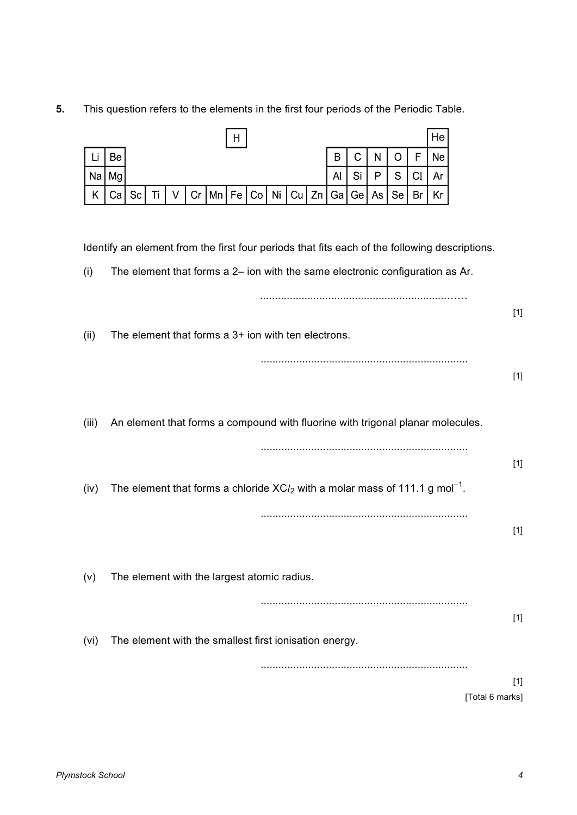**5.** This question refers to the elements in the first four periods of the Periodic Table.

 $\overline{H}$ 

He

|       |    |    |    |   |    |    | $\mathbf{H}$                                           |                 |    |    |    |    |    |    |    |                | ,,,                                                                                       |                                                                                |                                                                                               |                          |
|-------|----|----|----|---|----|----|--------------------------------------------------------|-----------------|----|----|----|----|----|----|----|----------------|-------------------------------------------------------------------------------------------|--------------------------------------------------------------------------------|-----------------------------------------------------------------------------------------------|--------------------------|
| Lı    | Be |    |    |   |    |    |                                                        |                 |    |    |    | B  | C  | N  | O  | F              | Ne                                                                                        |                                                                                |                                                                                               |                          |
| Na    | Mg |    |    |   |    |    |                                                        |                 |    |    |    | Al | Si | P  | S  | C <sub>1</sub> | Ar                                                                                        |                                                                                |                                                                                               |                          |
| Κ     | Ca | Sc | Ti | V | Cr | Mn | Fe                                                     | Co <sub>1</sub> | Ni | Cu | Zn | Ga | Ge | As | Se | Br             | Kr                                                                                        |                                                                                |                                                                                               |                          |
|       |    |    |    |   |    |    |                                                        |                 |    |    |    |    |    |    |    |                |                                                                                           |                                                                                |                                                                                               |                          |
|       |    |    |    |   |    |    |                                                        |                 |    |    |    |    |    |    |    |                |                                                                                           |                                                                                | Identify an element from the first four periods that fits each of the following descriptions. |                          |
| (i)   |    |    |    |   |    |    |                                                        |                 |    |    |    |    |    |    |    |                |                                                                                           | The element that forms a 2- ion with the same electronic configuration as Ar.  |                                                                                               |                          |
| (ii)  |    |    |    |   |    |    | The element that forms a 3+ ion with ten electrons.    |                 |    |    |    |    |    |    |    |                |                                                                                           |                                                                                |                                                                                               | $[1]$                    |
| (iii) |    |    |    |   |    |    |                                                        |                 |    |    |    |    |    |    |    |                |                                                                                           | An element that forms a compound with fluorine with trigonal planar molecules. |                                                                                               | $[1]$                    |
| (iv)  |    |    |    |   |    |    |                                                        |                 |    |    |    |    |    |    |    |                | The element that forms a chloride $XCl2$ with a molar mass of 111.1 g mol <sup>-1</sup> . |                                                                                |                                                                                               | $[1]$                    |
| (v)   |    |    |    |   |    |    | The element with the largest atomic radius.            |                 |    |    |    |    |    |    |    |                |                                                                                           |                                                                                |                                                                                               | $[1]$                    |
| (vi)  |    |    |    |   |    |    | The element with the smallest first ionisation energy. |                 |    |    |    |    |    |    |    |                |                                                                                           |                                                                                |                                                                                               | $[1]$                    |
|       |    |    |    |   |    |    |                                                        |                 |    |    |    |    |    |    |    |                |                                                                                           |                                                                                |                                                                                               | $[1]$<br>[Total 6 marks] |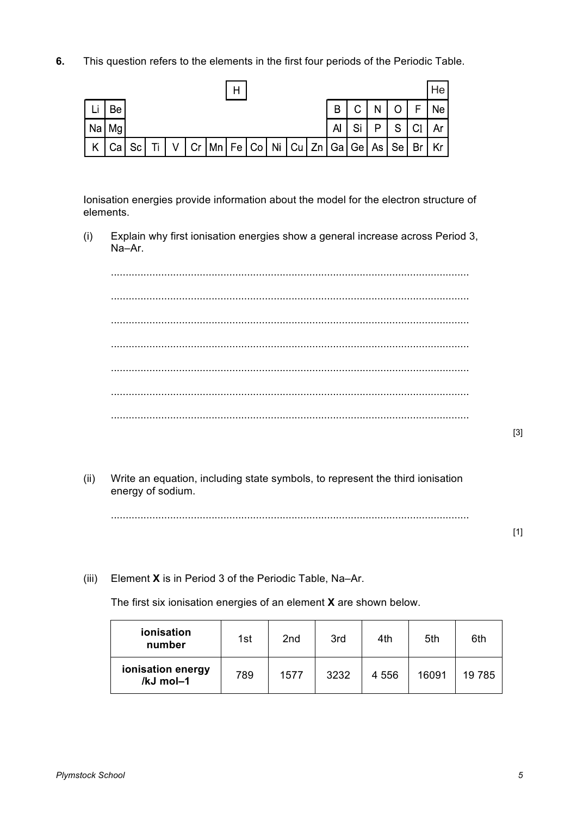**6.** This question refers to the elements in the first four periods of the Periodic Table.

|      |              |  |  | Н |                                             |  |    |              |       |                |    | He              |
|------|--------------|--|--|---|---------------------------------------------|--|----|--------------|-------|----------------|----|-----------------|
| 'Lin | Be           |  |  |   |                                             |  | B  | $\mathsf{C}$ | , N I | $\overline{O}$ | F  | Ne <sub>l</sub> |
|      | Na   Mg      |  |  |   |                                             |  | Al | Si           | P.    | S              | C1 | Ar $\vert$      |
|      | K Cal Sc Til |  |  |   | │ V │Cr │Mn│Fe│Co│ Ni│Cu│Zn│Ga│Ge│As│Se│Br│ |  |    |              |       |                |    | Kr I            |

Ionisation energies provide information about the model for the electron structure of elements.

(i) Explain why first ionisation energies show a general increase across Period 3, Na–Ar.

......................................................................................................................... ......................................................................................................................... ......................................................................................................................... ......................................................................................................................... ......................................................................................................................... ......................................................................................................................... .........................................................................................................................

[3]

(ii) Write an equation, including state symbols, to represent the third ionisation energy of sodium.

.........................................................................................................................

[1]

(iii) Element **X** is in Period 3 of the Periodic Table, Na–Ar.

The first six ionisation energies of an element **X** are shown below.

| ionisation<br>number           | 1st | 2nd  | 3rd  | 4th     | 5th   | 6th    |
|--------------------------------|-----|------|------|---------|-------|--------|
| ionisation energy<br>/kJ mol-1 | 789 | 1577 | 3232 | 4 5 5 6 | 16091 | 19 785 |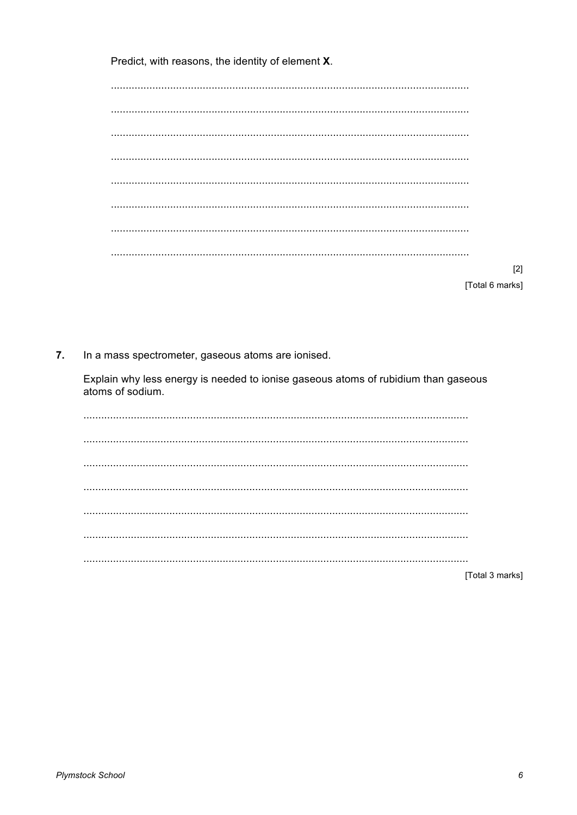Predict, with reasons, the identity of element X.

| $[2]$           |
|-----------------|
| [Total 6 marks] |

In a mass spectrometer, gaseous atoms are ionised.  $7.$ 

Explain why less energy is needed to ionise gaseous atoms of rubidium than gaseous atoms of sodium.

| $[Totd]$ 3 mark |
|-----------------|

[Total 3 marks]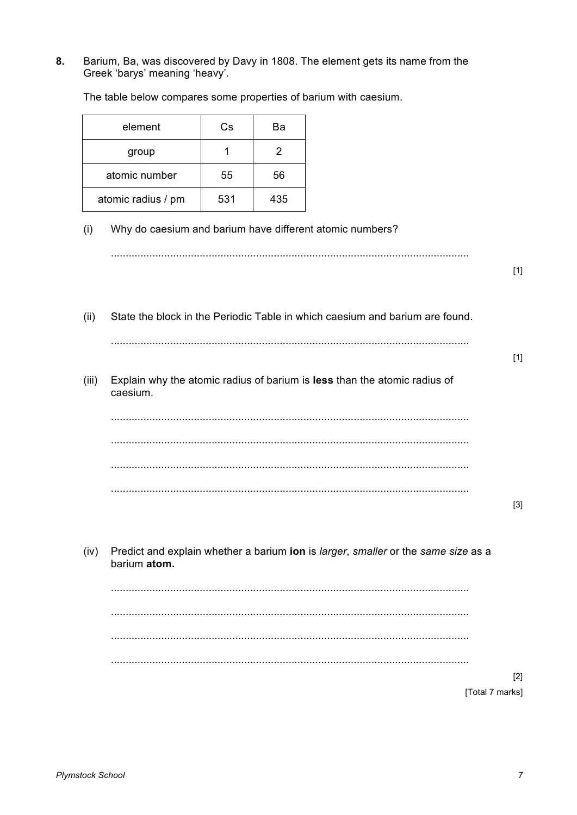Barium, Ba, was discovered by Davy in 1808. The element gets its name from the 8. Greek 'barys' meaning 'heavy'.

The table below compares some properties of barium with caesium.

| element            | Cs  | Ва  |
|--------------------|-----|-----|
| group              |     | 2   |
| atomic number      | 55  | 56  |
| atomic radius / pm | 531 | 435 |

## Why do caesium and barium have different atomic numbers?  $(i)$

|       |                                                                                                   | $[1]$           |
|-------|---------------------------------------------------------------------------------------------------|-----------------|
| (ii)  | State the block in the Periodic Table in which caesium and barium are found.                      |                 |
|       |                                                                                                   | $[1]$           |
| (iii) | Explain why the atomic radius of barium is less than the atomic radius of<br>caesium.             |                 |
|       |                                                                                                   |                 |
|       |                                                                                                   |                 |
|       |                                                                                                   |                 |
|       |                                                                                                   | $[3]$           |
| (iv)  | Predict and explain whether a barium ion is larger, smaller or the same size as a<br>barium atom. |                 |
|       |                                                                                                   |                 |
|       |                                                                                                   |                 |
|       |                                                                                                   |                 |
|       |                                                                                                   | $[2]$           |
|       |                                                                                                   | [Total 7 marks] |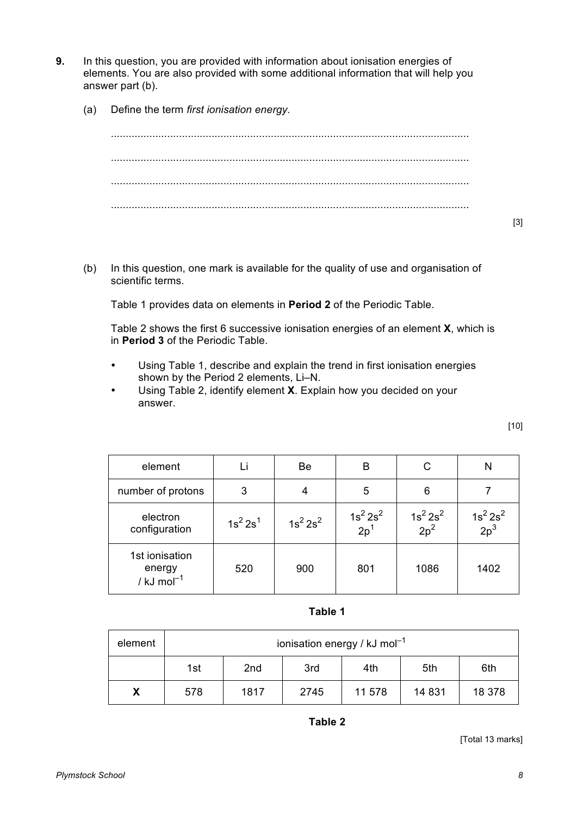- **9.** In this question, you are provided with information about ionisation energies of elements. You are also provided with some additional information that will help you answer part (b).
	- (a) Define the term *first ionisation energy.*

......................................................................................................................... ......................................................................................................................... ......................................................................................................................... .........................................................................................................................

(b) In this question, one mark is available for the quality of use and organisation of scientific terms.

Table 1 provides data on elements in **Period 2** of the Periodic Table.

Table 2 shows the first 6 successive ionisation energies of an element **X**, which is in **Period 3** of the Periodic Table.

- Using Table 1, describe and explain the trend in first ionisation energies shown by the Period 2 elements, Li–N.
- Using Table 2, identify element **X**. Explain how you decided on your answer.

| element                                             |             | Be          | B                      | С                        | N                      |
|-----------------------------------------------------|-------------|-------------|------------------------|--------------------------|------------------------|
| number of protons                                   | 3           |             | 5                      | 6                        |                        |
| electron<br>configuration                           | $1s^2 2s^1$ | $1s^2 2s^2$ | $\frac{1}{2} s^2 2s^2$ | $\frac{1s^2 2s^2}{2p^2}$ | $\frac{1}{2} s^2 2s^2$ |
| 1st ionisation<br>energy<br>/ $kJ \text{ mol}^{-1}$ | 520         | 900         | 801                    | 1086                     | 1402                   |

**Table 1**

| element | ionisation energy / $kJ \text{ mol}^{-1}$   |      |      |        |         |        |  |  |
|---------|---------------------------------------------|------|------|--------|---------|--------|--|--|
|         | 5th<br>1st<br>2 <sub>nd</sub><br>3rd<br>4th |      |      |        |         |        |  |  |
|         | 578                                         | 1817 | 2745 | 11 578 | 14 8 31 | 18 378 |  |  |

**Table 2**

[Total 13 marks]

[3]

[10]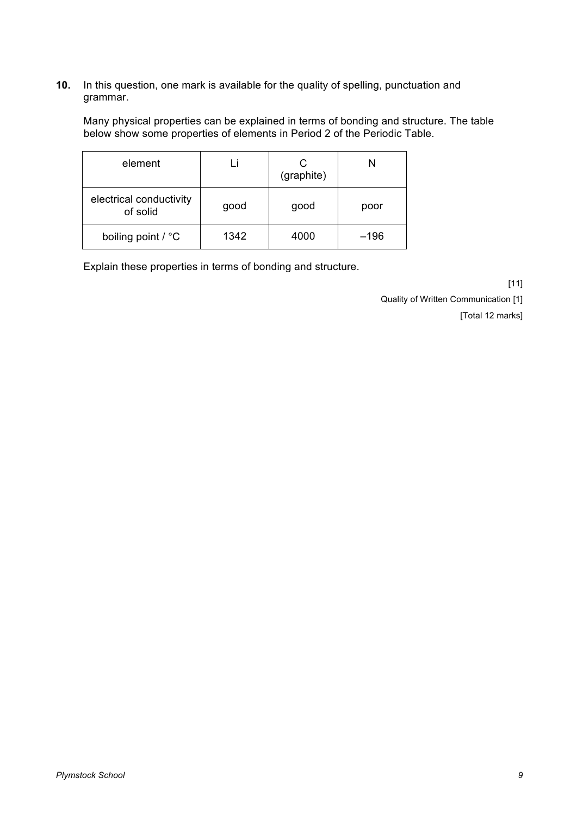## **10.** In this question, one mark is available for the quality of spelling, punctuation and grammar.

Many physical properties can be explained in terms of bonding and structure. The table below show some properties of elements in Period 2 of the Periodic Table.

| element                             |      | (graphite) |        |
|-------------------------------------|------|------------|--------|
| electrical conductivity<br>of solid | good | good       | poor   |
| boiling point / °C                  | 1342 | 4000       | $-196$ |

Explain these properties in terms of bonding and structure.

[11]

Quality of Written Communication [1]

[Total 12 marks]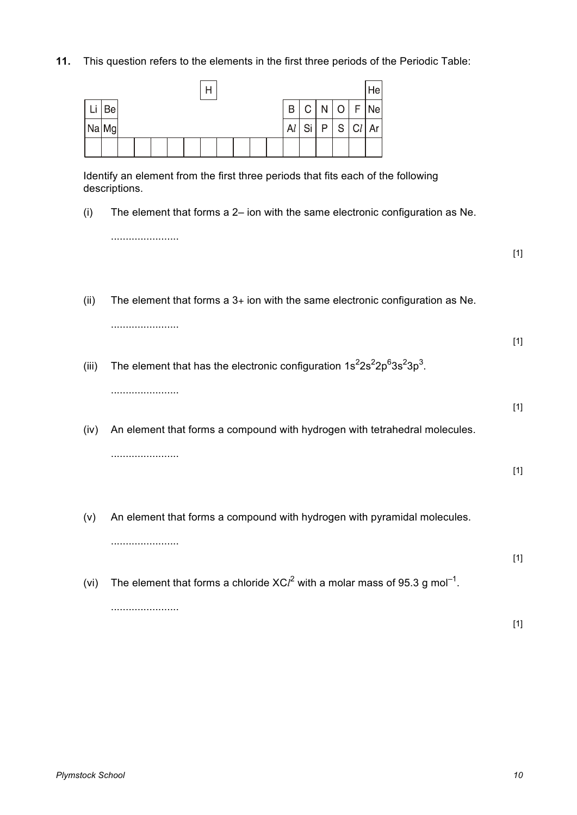**11.** This question refers to the elements in the first three periods of the Periodic Table:

| п      |    |  |  |  |  |  |  |  | Hel |    |     |  |  |                  |
|--------|----|--|--|--|--|--|--|--|-----|----|-----|--|--|------------------|
| r Lill | Be |  |  |  |  |  |  |  |     |    | B C |  |  | $N$   O $ F $ Ne |
| Na Mg  |    |  |  |  |  |  |  |  |     | Al | Si  |  |  | P   S   C l   Ar |
|        |    |  |  |  |  |  |  |  |     |    |     |  |  |                  |

Identify an element from the first three periods that fits each of the following descriptions.

(i) The element that forms a 2– ion with the same electronic configuration as Ne.

.......................

[1]

(ii) The element that forms a  $3+$  ion with the same electronic configuration as Ne.

.......................

(iii) The element that has the electronic configuration  $1s^22s^22p^63s^23p^3$ .

.......................

[1]

[1]

[1]

- (iv) An element that forms a compound with hydrogen with tetrahedral molecules. .......................
- (v) An element that forms a compound with hydrogen with pyramidal molecules. .......................
- (vi) The element that forms a chloride  $XC^2$  with a molar mass of 95.3 g mol<sup>-1</sup>. .......................

[1]

[1]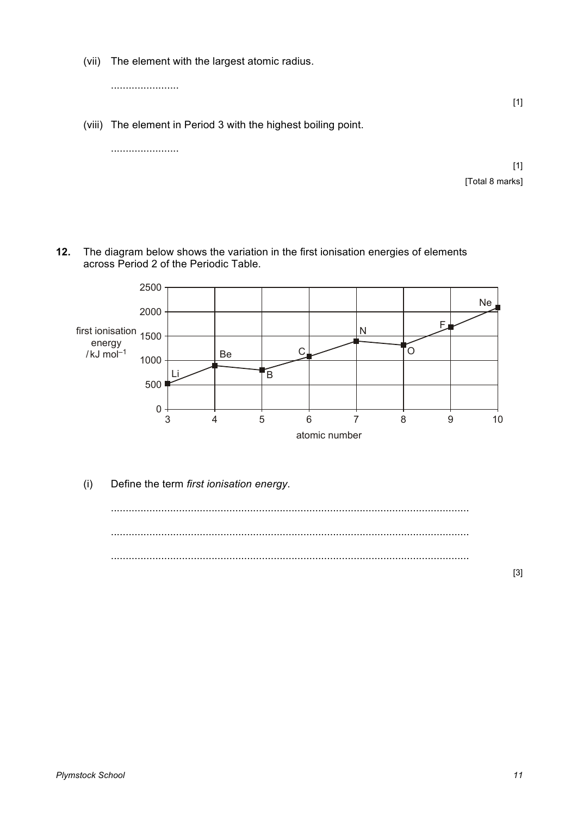(vii) The element with the largest atomic radius.

.......................

(viii) The element in Period 3 with the highest boiling point.

|  |  | $[1]$           |
|--|--|-----------------|
|  |  | [Total 8 marks] |

**12.** The diagram below shows the variation in the first ionisation energies of elements across Period 2 of the Periodic Table.



(i) Define the term *first ionisation energy*.



[3]

[1]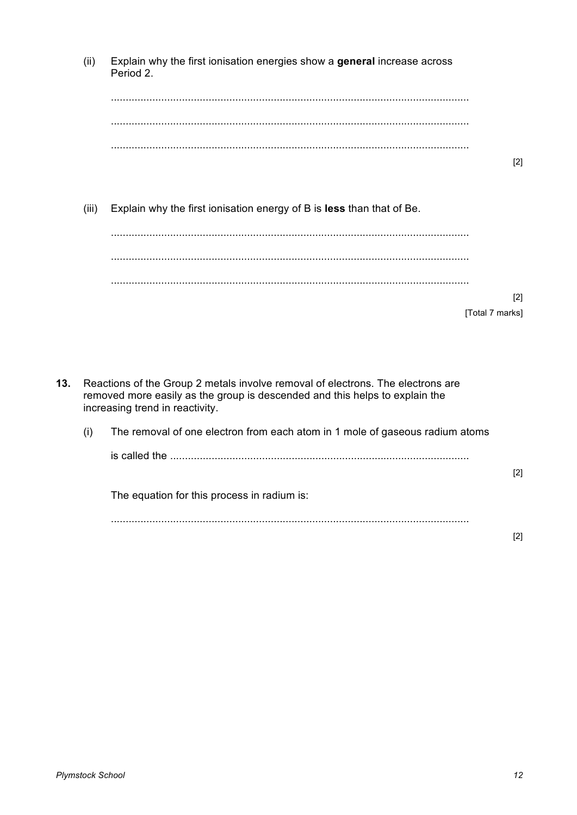|     | (ii)  | Explain why the first ionisation energies show a general increase across<br>Period 2.                                                                                                             |                   |
|-----|-------|---------------------------------------------------------------------------------------------------------------------------------------------------------------------------------------------------|-------------------|
|     |       |                                                                                                                                                                                                   |                   |
|     |       |                                                                                                                                                                                                   | $[2]$             |
|     | (iii) | Explain why the first ionisation energy of B is less than that of Be.                                                                                                                             |                   |
|     |       |                                                                                                                                                                                                   |                   |
|     |       | [Total 7 marks]                                                                                                                                                                                   | $\lceil 2 \rceil$ |
|     |       |                                                                                                                                                                                                   |                   |
| 13. |       | Reactions of the Group 2 metals involve removal of electrons. The electrons are<br>removed more easily as the group is descended and this helps to explain the<br>increasing trend in reactivity. |                   |
|     | (i)   | The removal of one electron from each atom in 1 mole of gaseous radium atoms                                                                                                                      |                   |
|     |       |                                                                                                                                                                                                   | $[2]$             |
|     |       | The equation for this process in radium is:                                                                                                                                                       |                   |
|     |       |                                                                                                                                                                                                   | [2]               |
|     |       |                                                                                                                                                                                                   |                   |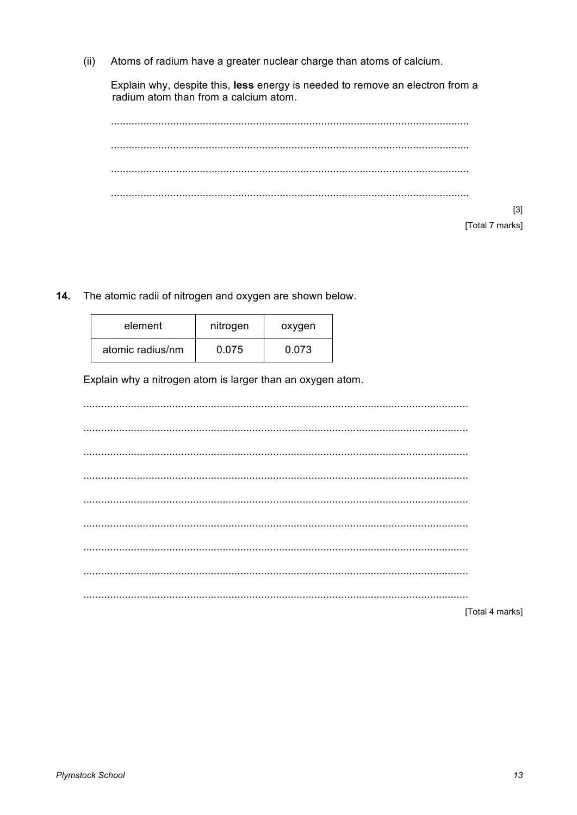$(ii)$ Atoms of radium have a greater nuclear charge than atoms of calcium.

Explain why, despite this, less energy is needed to remove an electron from a radium atom than from a calcium atom.

[Total 7 marks]

14. The atomic radii of nitrogen and oxygen are shown below.

| element          | nitrogen | oxygen |
|------------------|----------|--------|
| atomic radius/nm | 0.075    | 0.073  |

Explain why a nitrogen atom is larger than an oxygen atom.

| [Total 4 marks] |
|-----------------|

 $[3]$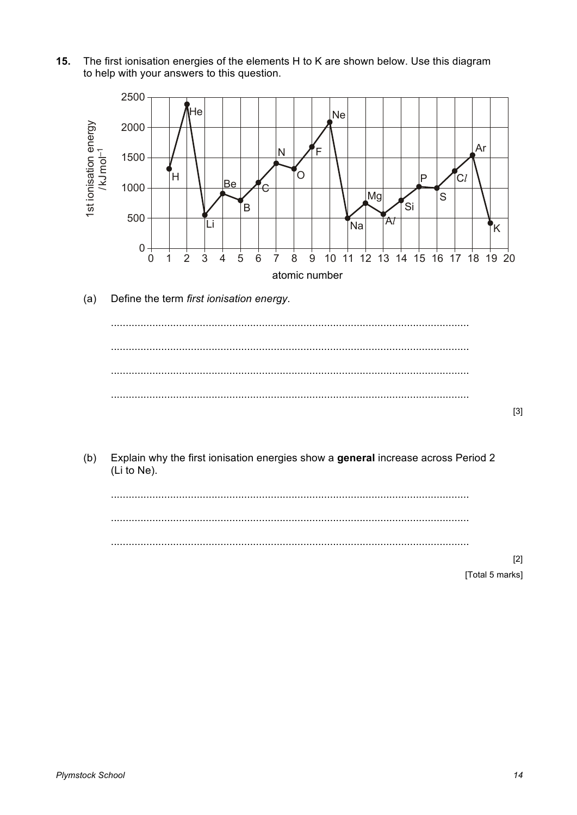$15.$ The first ionisation energies of the elements H to K are shown below. Use this diagram to help with your answers to this question.



Define the term first ionisation energy.  $(a)$ 



Explain why the first ionisation energies show a general increase across Period 2  $(b)$ (Li to Ne).



 $[2]$ [Total 5 marks]

 $[3]$